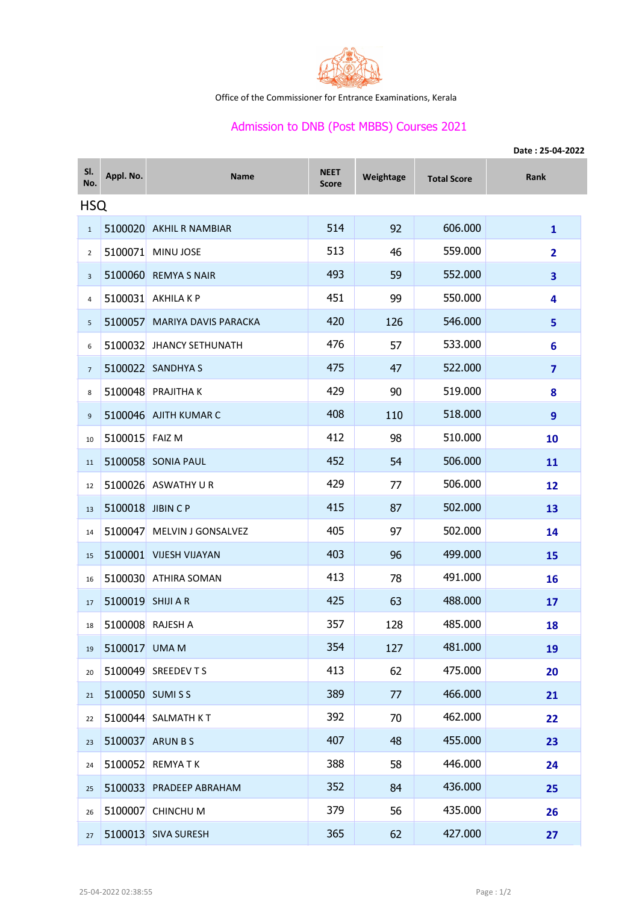

Office of the Commissioner for Entrance Examinations, Kerala

## Admission to DNB (Post MBBS) Courses 2021

|                | Date: 25-04-2022  |                              |                             |           |                    |                         |  |  |  |  |
|----------------|-------------------|------------------------------|-----------------------------|-----------|--------------------|-------------------------|--|--|--|--|
| SI.<br>No.     | Appl. No.         | <b>Name</b>                  | <b>NEET</b><br><b>Score</b> | Weightage | <b>Total Score</b> | Rank                    |  |  |  |  |
| <b>HSQ</b>     |                   |                              |                             |           |                    |                         |  |  |  |  |
| $\mathbf{1}$   |                   | 5100020 AKHIL R NAMBIAR      | 514                         | 92        | 606.000            | $\mathbf{1}$            |  |  |  |  |
| 2              |                   | 5100071 MINU JOSE            | 513                         | 46        | 559.000            | $\overline{2}$          |  |  |  |  |
| $\overline{3}$ |                   | 5100060 REMYA S NAIR         | 493                         | 59        | 552.000            | 3                       |  |  |  |  |
| 4              |                   | 5100031 AKHILA K P           | 451                         | 99        | 550.000            | 4                       |  |  |  |  |
| 5              |                   | 5100057 MARIYA DAVIS PARACKA | 420                         | 126       | 546.000            | 5                       |  |  |  |  |
| 6              |                   | 5100032 JHANCY SETHUNATH     | 476                         | 57        | 533.000            | 6                       |  |  |  |  |
| $\overline{7}$ |                   | 5100022 SANDHYA S            | 475                         | 47        | 522.000            | $\overline{\mathbf{z}}$ |  |  |  |  |
| 8              |                   | 5100048 PRAJITHA K           | 429                         | 90        | 519.000            | 8                       |  |  |  |  |
| 9              |                   | 5100046 AJITH KUMAR C        | 408                         | 110       | 518.000            | 9                       |  |  |  |  |
| 10             | 5100015 FAIZ M    |                              | 412                         | 98        | 510.000            | 10                      |  |  |  |  |
| 11             |                   | 5100058 SONIA PAUL           | 452                         | 54        | 506.000            | 11                      |  |  |  |  |
| 12             |                   | 5100026 ASWATHY U R          | 429                         | 77        | 506.000            | 12                      |  |  |  |  |
| 13             | 5100018 JIBIN CP  |                              | 415                         | 87        | 502.000            | 13                      |  |  |  |  |
| 14             |                   | 5100047 MELVIN J GONSALVEZ   | 405                         | 97        | 502.000            | 14                      |  |  |  |  |
| 15             |                   | 5100001 VIJESH VIJAYAN       | 403                         | 96        | 499.000            | 15                      |  |  |  |  |
| 16             |                   | 5100030 ATHIRA SOMAN         | 413                         | 78        | 491.000            | 16                      |  |  |  |  |
| 17             | 5100019 SHIJI A R |                              | 425                         | 63        | 488.000            | 17                      |  |  |  |  |
| 18             |                   | 5100008 RAJESH A             | 357                         | 128       | 485.000            | 18                      |  |  |  |  |
| 19             | 5100017 UMA M     |                              | 354                         | 127       | 481.000            | 19                      |  |  |  |  |
| 20             |                   | 5100049 SREEDEV TS           | 413                         | 62        | 475.000            | 20                      |  |  |  |  |
| 21             |                   | 5100050 SUMISS               | 389                         | 77        | 466.000            | 21                      |  |  |  |  |
| 22             |                   | 5100044 SALMATH KT           | 392                         | 70        | 462.000            | 22                      |  |  |  |  |
| 23             |                   | 5100037 ARUN B S             | 407                         | 48        | 455.000            | 23                      |  |  |  |  |
| 24             |                   | 5100052 REMYATK              | 388                         | 58        | 446.000            | 24                      |  |  |  |  |
| 25             |                   | 5100033 PRADEEP ABRAHAM      | 352                         | 84        | 436.000            | 25                      |  |  |  |  |
| 26             |                   | 5100007 CHINCHU M            | 379                         | 56        | 435.000            | 26                      |  |  |  |  |
| 27             |                   | 5100013 SIVA SURESH          | 365                         | 62        | 427.000            | 27                      |  |  |  |  |